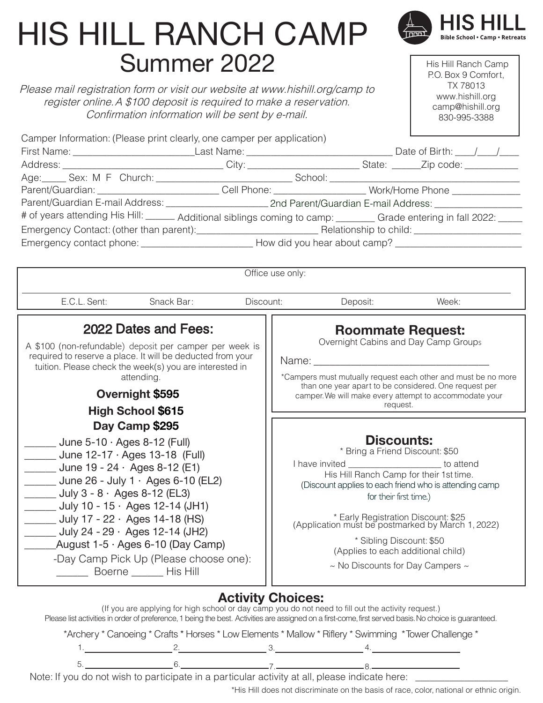# HIS HILL RANCH CAMP Summer 2022

Please mail registration form or visit our website at www.hishill.org/camp to register online.A \$100 deposit is required to make a reservation. Confirmation information will be sent by e-mail.

 His Hill Ranch Camp P.O. Box 9 Comfort, TX 78013 www.hishill.org camp@hishill.org 830-995-3388

**Bible School . Camp . Retreats** 

|                                                                                                                                                                                                                                                                                                                                                | Camper Information: (Please print clearly, one camper per application)                                                                                                                                                                                        |                                                                                                                                                                                                                                                                                                                                                                                                       |                          |          |                                  |  |
|------------------------------------------------------------------------------------------------------------------------------------------------------------------------------------------------------------------------------------------------------------------------------------------------------------------------------------------------|---------------------------------------------------------------------------------------------------------------------------------------------------------------------------------------------------------------------------------------------------------------|-------------------------------------------------------------------------------------------------------------------------------------------------------------------------------------------------------------------------------------------------------------------------------------------------------------------------------------------------------------------------------------------------------|--------------------------|----------|----------------------------------|--|
|                                                                                                                                                                                                                                                                                                                                                |                                                                                                                                                                                                                                                               |                                                                                                                                                                                                                                                                                                                                                                                                       |                          |          |                                  |  |
|                                                                                                                                                                                                                                                                                                                                                |                                                                                                                                                                                                                                                               |                                                                                                                                                                                                                                                                                                                                                                                                       |                          |          |                                  |  |
|                                                                                                                                                                                                                                                                                                                                                | Age: Sex: M F Church: Sextern School: School: School: School: School: School: School: School: Sextern July 2012 11: 2012 11: 2012 11: 2012 11: 2012 11: 2012 11: 2012 11: 2012 11: 2012 11: 2012 11: 2012 11: 2012 11: 2012 11                                |                                                                                                                                                                                                                                                                                                                                                                                                       |                          |          |                                  |  |
|                                                                                                                                                                                                                                                                                                                                                |                                                                                                                                                                                                                                                               |                                                                                                                                                                                                                                                                                                                                                                                                       |                          |          |                                  |  |
|                                                                                                                                                                                                                                                                                                                                                |                                                                                                                                                                                                                                                               |                                                                                                                                                                                                                                                                                                                                                                                                       |                          |          |                                  |  |
|                                                                                                                                                                                                                                                                                                                                                | # of years attending His Hill: ______ Additional siblings coming to camp: _______ Grade entering in fall 2022: ____                                                                                                                                           |                                                                                                                                                                                                                                                                                                                                                                                                       |                          |          |                                  |  |
|                                                                                                                                                                                                                                                                                                                                                |                                                                                                                                                                                                                                                               |                                                                                                                                                                                                                                                                                                                                                                                                       |                          |          |                                  |  |
|                                                                                                                                                                                                                                                                                                                                                | Emergency contact phone: _________________________________How did you hear about camp? _______________________                                                                                                                                                |                                                                                                                                                                                                                                                                                                                                                                                                       |                          |          |                                  |  |
|                                                                                                                                                                                                                                                                                                                                                |                                                                                                                                                                                                                                                               |                                                                                                                                                                                                                                                                                                                                                                                                       |                          |          |                                  |  |
|                                                                                                                                                                                                                                                                                                                                                |                                                                                                                                                                                                                                                               |                                                                                                                                                                                                                                                                                                                                                                                                       | Office use only:         |          |                                  |  |
| E.C.L. Sent:                                                                                                                                                                                                                                                                                                                                   | Snack Bar:                                                                                                                                                                                                                                                    | Discount:                                                                                                                                                                                                                                                                                                                                                                                             |                          | Deposit: | Week:                            |  |
| 2022 Dates and Fees:<br>A \$100 (non-refundable) deposit per camper per week is<br>required to reserve a place. It will be deducted from your<br>tuition. Please check the week(s) you are interested in<br>attending.<br>Overnight \$595                                                                                                      |                                                                                                                                                                                                                                                               | <b>Roommate Request:</b><br>Overnight Cabins and Day Camp Groups<br>*Campers must mutually request each other and must be no more<br>than one year apart to be considered. One request per<br>camper. We will make every attempt to accommodate your<br>request.                                                                                                                                      |                          |          |                                  |  |
|                                                                                                                                                                                                                                                                                                                                                | <b>High School \$615</b><br>Day Camp \$295                                                                                                                                                                                                                    |                                                                                                                                                                                                                                                                                                                                                                                                       |                          |          |                                  |  |
| June $5-10 \cdot \text{Ages } 8-12$ (Full)<br>June 12-17 · Ages 13-18 (Full)<br>$\frac{1}{2}$ June 19 - 24 · Ages 8-12 (E1)<br>$\frac{1}{2}$ July 3 - 8 $\cdot$ Ages 8-12 (EL3)<br>July 10 - 15 $\cdot$ Ages 12-14 (JH1)<br>Uuly 17 - 22 $\cdot$ Ages 14-18 (HS)<br>July 24 - 29 $\cdot$ Ages 12-14 (JH2)<br>August 1-5 · Ages 6-10 (Day Camp) |                                                                                                                                                                                                                                                               | <b>Discounts:</b><br>* Bring a Friend Discount: \$50<br>I have invited _______________________ to attend<br>His Hill Ranch Camp for their 1st time.<br>(Discount applies to each friend who is attending camp<br>for their first time.)<br>* Early Registration Discount: \$25<br>(Application must be postmarked by March 1, 2022)<br>* Sibling Discount: \$50<br>(Applies to each additional child) |                          |          |                                  |  |
|                                                                                                                                                                                                                                                                                                                                                | -Day Camp Pick Up (Please choose one):<br>Boerne _______ His Hill                                                                                                                                                                                             |                                                                                                                                                                                                                                                                                                                                                                                                       |                          |          | ~ No Discounts for Day Campers ~ |  |
|                                                                                                                                                                                                                                                                                                                                                | (If you are applying for high school or day camp you do not need to fill out the activity request.)<br>Please list activities in order of preference, 1 being the best. Activities are assigned on a first-come, first served basis. No choice is guaranteed. |                                                                                                                                                                                                                                                                                                                                                                                                       | <b>Activity Choices:</b> |          |                                  |  |

\*Archery \* Canoeing \* Crafts \* Horses \* Low Elements \* Mallow \* Riflery \* Swimming \*Tower Challenge \*

Note: If you do not wish to participate in a particular activity at all, please indicate here: \_\_\_\_\_\_\_\_\_\_\_\_\_\_

\*His Hill does not discriminate on the basis of race, color, national or ethnic origin.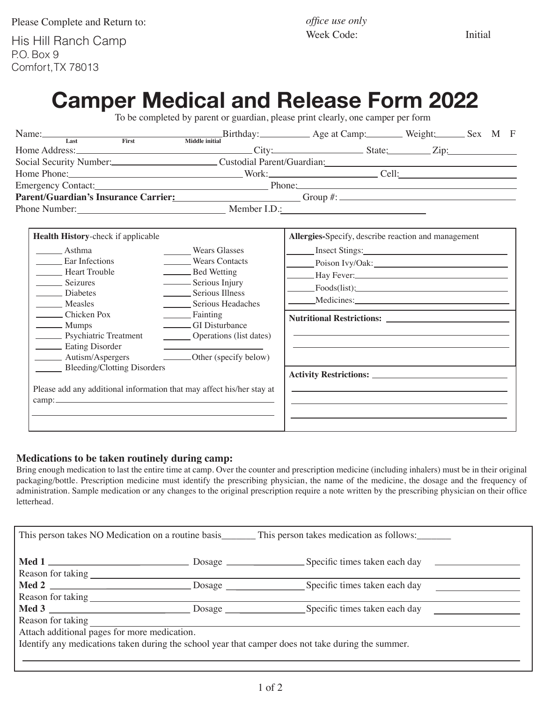Please Complete and Return to:

His Hill Ranch Camp P.O. Box 9 Comfort, TX 78013

*office use only* Week Code: Initial

# **Camper Medical and Release Form 2022**

To be completed by parent or guardian, please print clearly, one camper per form

| Name: Last First First Middle initial Birthday: Age at Camp: Weight: Sex M F                                                                                                                                                                                                  |                                                                                                                                                                                                                                |                                                                                                                                               |  |
|-------------------------------------------------------------------------------------------------------------------------------------------------------------------------------------------------------------------------------------------------------------------------------|--------------------------------------------------------------------------------------------------------------------------------------------------------------------------------------------------------------------------------|-----------------------------------------------------------------------------------------------------------------------------------------------|--|
|                                                                                                                                                                                                                                                                               |                                                                                                                                                                                                                                |                                                                                                                                               |  |
| Social Security Number:<br>Custodial Parent/Guardian:<br>Custodial Parent/Guardian:<br>Home Phone: Cell: Cell:                                                                                                                                                                |                                                                                                                                                                                                                                |                                                                                                                                               |  |
|                                                                                                                                                                                                                                                                               | Parent/Guardian's Insurance Carrier: Carrier: Carrier: City 4: Computer 3: Computer 3: Computer 3: Computer 3: Computer 3: Computer 3: Computer 3: Computer 3: Computer 3: Computer 3: Computer 3: Computer 3: Computer 3: Com |                                                                                                                                               |  |
| Health History-check if applicable<br>Asthma<br>Ear Infections<br><b>Example Heart Trouble</b><br><b>Seizures</b><br>Diabetes<br>Measles<br>Chicken Pox<br><b>Mumps</b><br>Psychiatric Treatment<br><b>Eating Disorder</b><br>Autism/Aspergers<br>Bleeding/Clotting Disorders | Wears Glasses<br>Wears Contacts<br>Bed Wetting<br>Serious Injury<br>Serious Illness<br>Serious Headaches<br>Fainting<br>CI Disturbance<br>Operations (list dates)<br>________Other (specify below)                             | Allergies-Specify, describe reaction and management<br>Insect Stings:<br>Poison Ivy/Oak:<br>Hay Fever:<br>$\frac{Foods(list):}{Foods(list):}$ |  |
| Please add any additional information that may affect his/her stay at<br>$\text{camp:}\n \overrightarrow{\qquad \qquad }$                                                                                                                                                     |                                                                                                                                                                                                                                | <u> 1989 - Johann Stoff, amerikansk politiker (* 1908)</u>                                                                                    |  |

#### **Medications to be taken routinely during camp:**

Bring enough medication to last the entire time at camp. Over the counter and prescription medicine (including inhalers) must be in their original packaging/bottle. Prescription medicine must identify the prescribing physician, the name of the medicine, the dosage and the frequency of administration. Sample medication or any changes to the original prescription require a note written by the prescribing physician on their office letterhead.

| This person takes NO Medication on a routine basis This person takes medication as follows:        |  |  |  |  |
|----------------------------------------------------------------------------------------------------|--|--|--|--|
| Reason for taking                                                                                  |  |  |  |  |
|                                                                                                    |  |  |  |  |
|                                                                                                    |  |  |  |  |
|                                                                                                    |  |  |  |  |
| Reason for taking                                                                                  |  |  |  |  |
| Attach additional pages for more medication.                                                       |  |  |  |  |
| Identify any medications taken during the school year that camper does not take during the summer. |  |  |  |  |
|                                                                                                    |  |  |  |  |